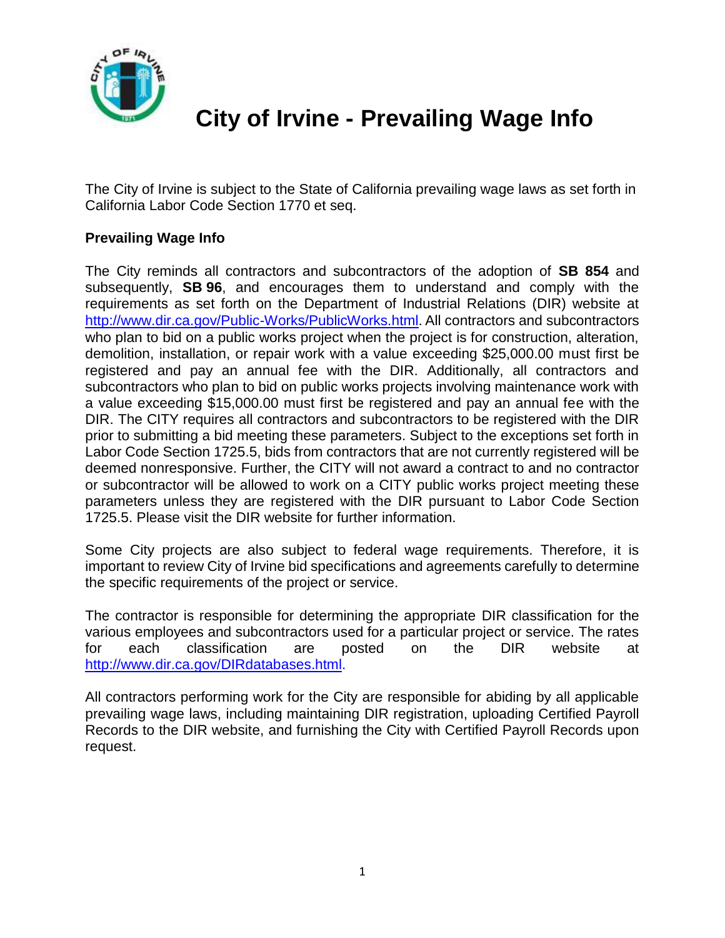

## **City of Irvine - Prevailing Wage Info**

The City of Irvine is subject to the State of California prevailing wage laws as set forth in California Labor Code Section 1770 et seq.

## **Prevailing Wage Info**

The City reminds all contractors and subcontractors of the adoption of **SB 854** and subsequently, **SB 96**, and encourages them to understand and comply with the requirements as set forth on the Department of Industrial Relations (DIR) website at <http://www.dir.ca.gov/Public-Works/PublicWorks.html>. All contractors and subcontractors who plan to bid on a public works project when the project is for construction, alteration, demolition, installation, or repair work with a value exceeding \$25,000.00 must first be registered and pay an annual fee with the DIR. Additionally, all contractors and subcontractors who plan to bid on public works projects involving maintenance work with a value exceeding \$15,000.00 must first be registered and pay an annual fee with the DIR. The CITY requires all contractors and subcontractors to be registered with the DIR prior to submitting a bid meeting these parameters. Subject to the exceptions set forth in Labor Code Section 1725.5, bids from contractors that are not currently registered will be deemed nonresponsive. Further, the CITY will not award a contract to and no contractor or subcontractor will be allowed to work on a CITY public works project meeting these parameters unless they are registered with the DIR pursuant to Labor Code Section 1725.5. Please visit the DIR website for further information.

Some City projects are also subject to federal wage requirements. Therefore, it is important to review City of Irvine bid specifications and agreements carefully to determine the specific requirements of the project or service.

The contractor is responsible for determining the appropriate DIR classification for the various employees and subcontractors used for a particular project or service. The rates for each classification are posted on the DIR website at [http://www.dir.ca.gov/DIRdatabases.html.](http://www.dir.ca.gov/DIRdatabases.html)

All contractors performing work for the City are responsible for abiding by all applicable prevailing wage laws, including maintaining DIR registration, uploading Certified Payroll Records to the DIR website, and furnishing the City with Certified Payroll Records upon request.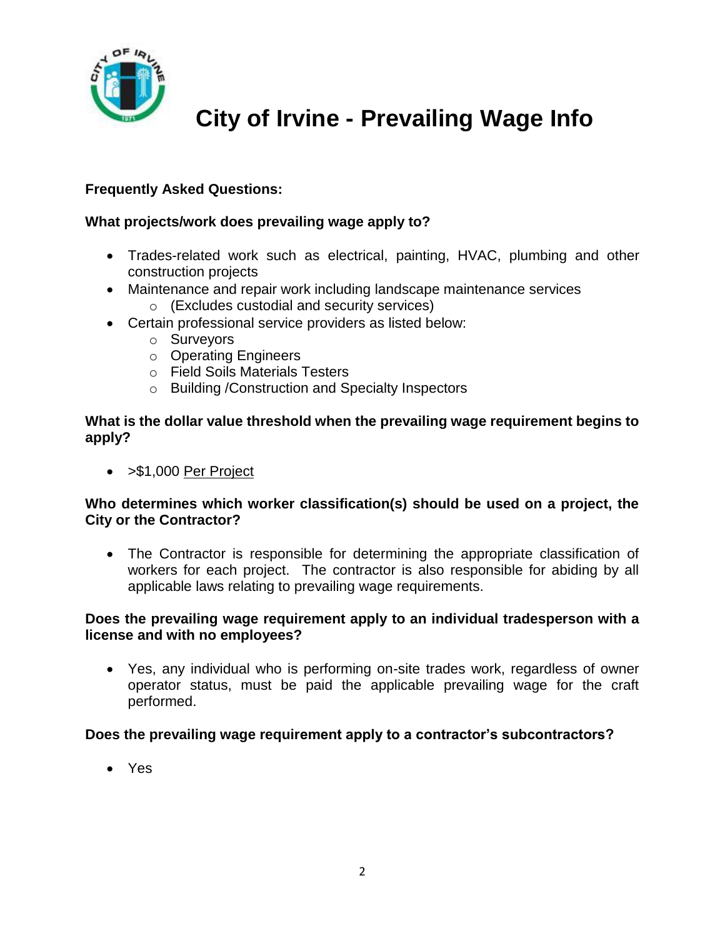

# **City of Irvine - Prevailing Wage Info**

## **Frequently Asked Questions:**

### **What projects/work does prevailing wage apply to?**

- Trades-related work such as electrical, painting, HVAC, plumbing and other construction projects
- Maintenance and repair work including landscape maintenance services
	- o (Excludes custodial and security services)
- Certain professional service providers as listed below:
	- o Surveyors
	- o Operating Engineers
	- o Field Soils Materials Testers
	- o Building /Construction and Specialty Inspectors

#### **What is the dollar value threshold when the prevailing wage requirement begins to apply?**

• > \$1,000 Per Project

#### **Who determines which worker classification(s) should be used on a project, the City or the Contractor?**

 The Contractor is responsible for determining the appropriate classification of workers for each project. The contractor is also responsible for abiding by all applicable laws relating to prevailing wage requirements.

#### **Does the prevailing wage requirement apply to an individual tradesperson with a license and with no employees?**

 Yes, any individual who is performing on-site trades work, regardless of owner operator status, must be paid the applicable prevailing wage for the craft performed.

#### **Does the prevailing wage requirement apply to a contractor's subcontractors?**

Yes